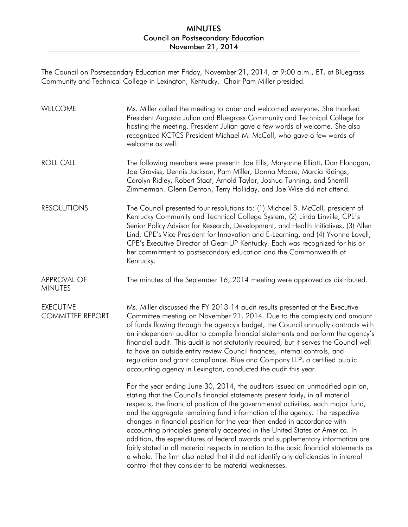The Council on Postsecondary Education met Friday, November 21, 2014, at 9:00 a.m., ET, at Bluegrass Community and Technical College in Lexington, Kentucky. Chair Pam Miller presided.

| WELCOME                                     | Ms. Miller called the meeting to order and welcomed everyone. She thanked<br>President Augusta Julian and Bluegrass Community and Technical College for<br>hosting the meeting. President Julian gave a few words of welcome. She also<br>recognized KCTCS President Michael M. McCall, who gave a few words of<br>welcome as well.                                                                                                                                                                                                                                                                                                                                                                                                                                                                                         |
|---------------------------------------------|-----------------------------------------------------------------------------------------------------------------------------------------------------------------------------------------------------------------------------------------------------------------------------------------------------------------------------------------------------------------------------------------------------------------------------------------------------------------------------------------------------------------------------------------------------------------------------------------------------------------------------------------------------------------------------------------------------------------------------------------------------------------------------------------------------------------------------|
| <b>ROLL CALL</b>                            | The following members were present: Joe Ellis, Maryanne Elliott, Dan Flanagan,<br>Joe Graviss, Dennis Jackson, Pam Miller, Donna Moore, Marcia Ridings,<br>Carolyn Ridley, Robert Staat, Arnold Taylor, Joshua Tunning, and Sherrill<br>Zimmerman. Glenn Denton, Terry Holliday, and Joe Wise did not attend.                                                                                                                                                                                                                                                                                                                                                                                                                                                                                                               |
| <b>RESOLUTIONS</b>                          | The Council presented four resolutions to: (1) Michael B. McCall, president of<br>Kentucky Community and Technical College System, (2) Linda Linville, CPE's<br>Senior Policy Advisor for Research, Development, and Health Initiatives, (3) Allen<br>Lind, CPE's Vice President for Innovation and E-Learning, and (4) Yvonne Lovell,<br>CPE's Executive Director of Gear-UP Kentucky. Each was recognized for his or<br>her commitment to postsecondary education and the Commonwealth of<br>Kentucky.                                                                                                                                                                                                                                                                                                                    |
| <b>APPROVAL OF</b><br><b>MINUTES</b>        | The minutes of the September 16, 2014 meeting were approved as distributed.                                                                                                                                                                                                                                                                                                                                                                                                                                                                                                                                                                                                                                                                                                                                                 |
| <b>EXECUTIVE</b><br><b>COMMITTEE REPORT</b> | Ms. Miller discussed the FY 2013-14 audit results presented at the Executive<br>Committee meeting on November 21, 2014. Due to the complexity and amount<br>of funds flowing through the agency's budget, the Council annually contracts with<br>an independent auditor to compile financial statements and perform the agency's<br>financial audit. This audit is not statutorily required, but it serves the Council well<br>to have an outside entity review Council finances, internal controls, and<br>regulation and grant compliance. Blue and Company LLP, a certified public<br>accounting agency in Lexington, conducted the audit this year.                                                                                                                                                                     |
|                                             | For the year ending June 30, 2014, the auditors issued an unmodified opinion,<br>stating that the Council's financial statements present fairly, in all material<br>respects, the financial position of the governmental activities, each major fund,<br>and the aggregate remaining fund information of the agency. The respective<br>changes in financial position for the year then ended in accordance with<br>accounting principles generally accepted in the United States of America. In<br>addition, the expenditures of federal awards and supplementary information are<br>fairly stated in all material respects in relation to the basic financial statements as<br>a whole. The firm also noted that it did not identify any deficiencies in internal<br>control that they consider to be material weaknesses. |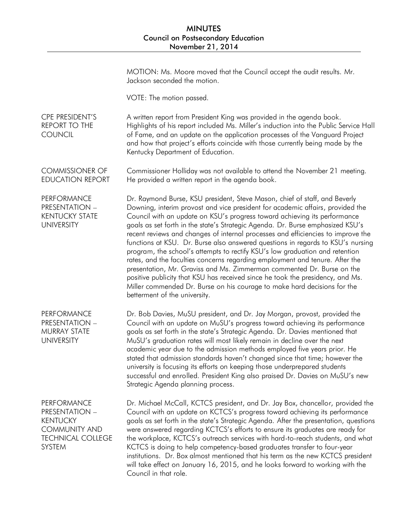|                                                                                                                       | MOTION: Ms. Moore moved that the Council accept the audit results. Mr.<br>Jackson seconded the motion.                                                                                                                                                                                                                                                                                                                                                                                                                                                                                                                                                                                                                                                                                                                                                                                                                                      |
|-----------------------------------------------------------------------------------------------------------------------|---------------------------------------------------------------------------------------------------------------------------------------------------------------------------------------------------------------------------------------------------------------------------------------------------------------------------------------------------------------------------------------------------------------------------------------------------------------------------------------------------------------------------------------------------------------------------------------------------------------------------------------------------------------------------------------------------------------------------------------------------------------------------------------------------------------------------------------------------------------------------------------------------------------------------------------------|
|                                                                                                                       | VOTE: The motion passed.                                                                                                                                                                                                                                                                                                                                                                                                                                                                                                                                                                                                                                                                                                                                                                                                                                                                                                                    |
| CPE PRESIDENT'S<br><b>REPORT TO THE</b><br><b>COUNCIL</b>                                                             | A written report from President King was provided in the agenda book.<br>Highlights of his report included Ms. Miller's induction into the Public Service Hall<br>of Fame, and an update on the application processes of the Vanguard Project<br>and how that project's efforts coincide with those currently being made by the<br>Kentucky Department of Education.                                                                                                                                                                                                                                                                                                                                                                                                                                                                                                                                                                        |
| <b>COMMISSIONER OF</b><br><b>EDUCATION REPORT</b>                                                                     | Commissioner Holliday was not available to attend the November 21 meeting.<br>He provided a written report in the agenda book.                                                                                                                                                                                                                                                                                                                                                                                                                                                                                                                                                                                                                                                                                                                                                                                                              |
| PERFORMANCE<br><b>PRESENTATION -</b><br><b>KENTUCKY STATE</b><br><b>UNIVERSITY</b>                                    | Dr. Raymond Burse, KSU president, Steve Mason, chief of staff, and Beverly<br>Downing, interim provost and vice president for academic affairs, provided the<br>Council with an update on KSU's progress toward achieving its performance<br>goals as set forth in the state's Strategic Agenda. Dr. Burse emphasized KSU's<br>recent reviews and changes of internal processes and efficiencies to improve the<br>functions at KSU. Dr. Burse also answered questions in regards to KSU's nursing<br>program, the school's attempts to rectify KSU's low graduation and retention<br>rates, and the faculties concerns regarding employment and tenure. After the<br>presentation, Mr. Graviss and Ms. Zimmerman commented Dr. Burse on the<br>positive publicity that KSU has received since he took the presidency, and Ms.<br>Miller commended Dr. Burse on his courage to make hard decisions for the<br>betterment of the university. |
| PERFORMANCE<br>PRESENTATION -<br><b>MURRAY STATE</b><br><b>UNIVERSITY</b>                                             | Dr. Bob Davies, MuSU president, and Dr. Jay Morgan, provost, provided the<br>Council with an update on MuSU's progress toward achieving its performance<br>goals as set forth in the state's Strategic Agenda. Dr. Davies mentioned that<br>MuSU's graduation rates will most likely remain in decline over the next<br>academic year due to the admission methods employed five years prior. He<br>stated that admission standards haven't changed since that time; however the<br>university is focusing its efforts on keeping those underprepared students<br>successful and enrolled. President King also praised Dr. Davies on MuSU's new<br>Strategic Agenda planning process.                                                                                                                                                                                                                                                       |
| PERFORMANCE<br>PRESENTATION -<br><b>KENTUCKY</b><br><b>COMMUNITY AND</b><br><b>TECHNICAL COLLEGE</b><br><b>SYSTEM</b> | Dr. Michael McCall, KCTCS president, and Dr. Jay Box, chancellor, provided the<br>Council with an update on KCTCS's progress toward achieving its performance<br>goals as set forth in the state's Strategic Agenda. After the presentation, questions<br>were answered regarding KCTCS's efforts to ensure its graduates are ready for<br>the workplace, KCTCS's outreach services with hard-to-reach students, and what<br>KCTCS is doing to help competency-based graduates transfer to four-year<br>institutions. Dr. Box almost mentioned that his term as the new KCTCS president<br>will take effect on January 16, 2015, and he looks forward to working with the<br>Council in that role.                                                                                                                                                                                                                                          |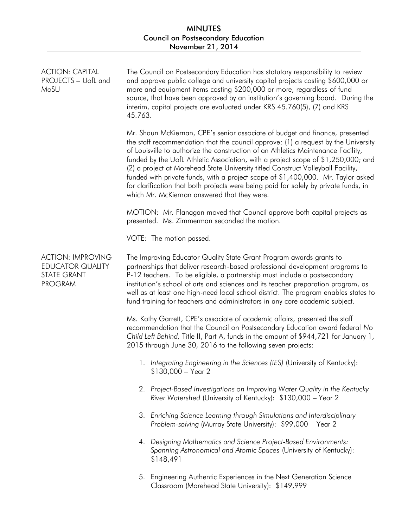| <b>ACTION: CAPITAL</b><br>PROJECTS - UofL and<br>MoSU                                       | The Council on Postsecondary Education has statutory responsibility to review<br>and approve public college and university capital projects costing \$600,000 or<br>more and equipment items costing \$200,000 or more, regardless of fund<br>source, that have been approved by an institution's governing board. During the<br>interim, capital projects are evaluated under KRS 45.760(5), (7) and KRS<br>45.763.                                                                                                                                                                                                                                         |
|---------------------------------------------------------------------------------------------|--------------------------------------------------------------------------------------------------------------------------------------------------------------------------------------------------------------------------------------------------------------------------------------------------------------------------------------------------------------------------------------------------------------------------------------------------------------------------------------------------------------------------------------------------------------------------------------------------------------------------------------------------------------|
|                                                                                             | Mr. Shaun McKiernan, CPE's senior associate of budget and finance, presented<br>the staff recommendation that the council approve: (1) a request by the University<br>of Louisville to authorize the construction of an Athletics Maintenance Facility,<br>funded by the UofL Athletic Association, with a project scope of \$1,250,000; and<br>(2) a project at Morehead State University titled Construct Volleyball Facility,<br>funded with private funds, with a project scope of \$1,400,000. Mr. Taylor asked<br>for clarification that both projects were being paid for solely by private funds, in<br>which Mr. McKiernan answered that they were. |
|                                                                                             | MOTION: Mr. Flanagan moved that Council approve both capital projects as<br>presented. Ms. Zimmerman seconded the motion.                                                                                                                                                                                                                                                                                                                                                                                                                                                                                                                                    |
|                                                                                             | VOTE: The motion passed.                                                                                                                                                                                                                                                                                                                                                                                                                                                                                                                                                                                                                                     |
| <b>ACTION: IMPROVING</b><br><b>EDUCATOR QUALITY</b><br><b>STATE GRANT</b><br><b>PROGRAM</b> | The Improving Educator Quality State Grant Program awards grants to<br>partnerships that deliver research-based professional development programs to<br>P-12 teachers. To be eligible, a partnership must include a postsecondary<br>institution's school of arts and sciences and its teacher preparation program, as<br>well as at least one high-need local school district. The program enables states to<br>fund training for teachers and administrators in any core academic subject.                                                                                                                                                                 |
|                                                                                             | Ms. Kathy Garrett, CPE's associate of academic affairs, presented the staff<br>recommendation that the Council on Postsecondary Education award federal No<br>Child Left Behind, Title II, Part A, funds in the amount of \$944,721 for January 1,<br>2015 through June 30, 2016 to the following seven projects:                                                                                                                                                                                                                                                                                                                                            |
|                                                                                             | 1. Integrating Engineering in the Sciences (IES) (University of Kentucky):<br>$$130,000 - Year2$                                                                                                                                                                                                                                                                                                                                                                                                                                                                                                                                                             |
|                                                                                             | 2. Project-Based Investigations on Improving Water Quality in the Kentucky<br>River Watershed (University of Kentucky): \$130,000 - Year 2                                                                                                                                                                                                                                                                                                                                                                                                                                                                                                                   |
|                                                                                             | 3. Enriching Science Learning through Simulations and Interdisciplinary<br>Problem-solving (Murray State University): \$99,000 - Year 2                                                                                                                                                                                                                                                                                                                                                                                                                                                                                                                      |
|                                                                                             | 4. Designing Mathematics and Science Project-Based Environments:<br>Spanning Astronomical and Atomic Spaces (University of Kentucky):<br>\$148,491                                                                                                                                                                                                                                                                                                                                                                                                                                                                                                           |
|                                                                                             | Engineering Authentic Experiences in the Next Generation Science<br>5.<br>Classroom (Morehead State University): \$149,999                                                                                                                                                                                                                                                                                                                                                                                                                                                                                                                                   |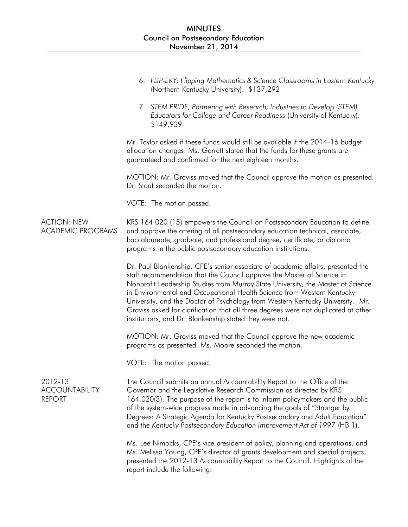|                                                   | 6. FLIP-EKY: Flipping Mathematics & Science Classrooms in Eastern Kentucky<br>(Northern Kentucky University): \$137,292                                                                                                                                                                                                                                                                                                                                                                                                                                     |
|---------------------------------------------------|-------------------------------------------------------------------------------------------------------------------------------------------------------------------------------------------------------------------------------------------------------------------------------------------------------------------------------------------------------------------------------------------------------------------------------------------------------------------------------------------------------------------------------------------------------------|
|                                                   | 7. STEM PRIDE, Partnering with Research, Industries to Develop (STEM)<br>Educators for College and Career Readiness (University of Kentucky):<br>\$149,939                                                                                                                                                                                                                                                                                                                                                                                                  |
|                                                   | Mr. Taylor asked if these funds would still be available if the 2014-16 budget<br>allocation changes. Ms. Garrett stated that the funds for these grants are<br>guaranteed and confirmed for the next eighteen months.                                                                                                                                                                                                                                                                                                                                      |
|                                                   | MOTION: Mr. Graviss moved that the Council approve the motion as presented.<br>Dr. Staat seconded the motion.                                                                                                                                                                                                                                                                                                                                                                                                                                               |
|                                                   | VOTE: The motion passed.                                                                                                                                                                                                                                                                                                                                                                                                                                                                                                                                    |
| <b>ACTION: NEW</b><br><b>ACADEMIC PROGRAMS</b>    | KRS 164.020 (15) empowers the Council on Postsecondary Education to define<br>and approve the offering of all postsecondary education technical, associate,<br>baccalaureate, graduate, and professional degree, certificate, or diploma<br>programs in the public postsecondary education institutions.                                                                                                                                                                                                                                                    |
|                                                   | Dr. Paul Blankenship, CPE's senior associate of academic affairs, presented the<br>staff recommendation that the Council approve the Master of Science in<br>Nonprofit Leadership Studies from Murray State University, the Master of Science<br>in Environmental and Occupational Health Science from Western Kentucky<br>University, and the Doctor of Psychology from Western Kentucky University. Mr.<br>Graviss asked for clarification that all three degrees were not duplicated at other<br>institutions, and Dr. Blankenship stated they were not. |
|                                                   | MOTION: Mr. Graviss moved that the Council approve the new academic<br>programs as presented. Ms. Moore seconded the motion.                                                                                                                                                                                                                                                                                                                                                                                                                                |
|                                                   | VOTE: The motion passed.                                                                                                                                                                                                                                                                                                                                                                                                                                                                                                                                    |
| 2012-13<br><b>ACCOUNTABILITY</b><br><b>REPORT</b> | The Council submits an annual Accountability Report to the Office of the<br>Governor and the Legislative Research Commission as directed by KRS<br>164.020(3). The purpose of the report is to inform policymakers and the public<br>of the system-wide progress made in advancing the goals of "Stronger by<br>Degrees: A Strategic Agenda for Kentucky Postsecondary and Adult Education"<br>and the Kentucky Postsecondary Education Improvement Act of 1997 (HB 1).                                                                                     |
|                                                   | Ms. Lee Nimocks, CPE's vice president of policy, planning and operations, and<br>Ms. Melissa Young, CPE's director of grants development and special projects,<br>presented the 2012-13 Accountability Report to the Council. Highlights of the<br>report include the following:                                                                                                                                                                                                                                                                            |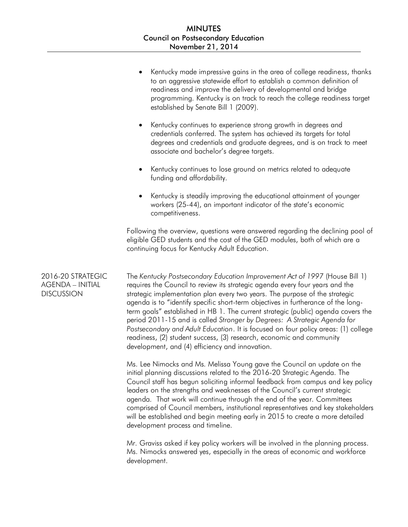|                                                                   | Kentucky made impressive gains in the area of college readiness, thanks<br>to an aggressive statewide effort to establish a common definition of<br>readiness and improve the delivery of developmental and bridge<br>programming. Kentucky is on track to reach the college readiness target<br>established by Senate Bill 1 (2009).                                                                                                                                                                                                                                                                                                                                                                             |
|-------------------------------------------------------------------|-------------------------------------------------------------------------------------------------------------------------------------------------------------------------------------------------------------------------------------------------------------------------------------------------------------------------------------------------------------------------------------------------------------------------------------------------------------------------------------------------------------------------------------------------------------------------------------------------------------------------------------------------------------------------------------------------------------------|
|                                                                   | Kentucky continues to experience strong growth in degrees and<br>$\bullet$<br>credentials conferred. The system has achieved its targets for total<br>degrees and credentials and graduate degrees, and is on track to meet<br>associate and bachelor's degree targets.                                                                                                                                                                                                                                                                                                                                                                                                                                           |
|                                                                   | Kentucky continues to lose ground on metrics related to adequate<br>٠<br>funding and affordability.                                                                                                                                                                                                                                                                                                                                                                                                                                                                                                                                                                                                               |
|                                                                   | Kentucky is steadily improving the educational attainment of younger<br>workers (25-44), an important indicator of the state's economic<br>competitiveness.                                                                                                                                                                                                                                                                                                                                                                                                                                                                                                                                                       |
|                                                                   | Following the overview, questions were answered regarding the declining pool of<br>eligible GED students and the cost of the GED modules, both of which are a<br>continuing focus for Kentucky Adult Education.                                                                                                                                                                                                                                                                                                                                                                                                                                                                                                   |
| 2016-20 STRATEGIC<br><b>AGENDA - INITIAL</b><br><b>DISCUSSION</b> | The Kentucky Postsecondary Education Improvement Act of 1997 (House Bill 1)<br>requires the Council to review its strategic agenda every four years and the<br>strategic implementation plan every two years. The purpose of the strategic<br>agenda is to "identify specific short-term objectives in furtherance of the long-<br>term goals" established in HB 1. The current strategic (public) agenda covers the<br>period 2011-15 and is called Stronger by Degrees: A Strategic Agenda for<br>Postsecondary and Adult Education. It is focused on four policy areas: (1) college<br>readiness, (2) student success, (3) research, economic and community<br>development, and (4) efficiency and innovation. |
|                                                                   | Ms. Lee Nimocks and Ms. Melissa Young gave the Council an update on the<br>initial planning discussions related to the 2016-20 Strategic Agenda. The<br>Council staff has begun soliciting informal feedback from campus and key policy<br>leaders on the strengths and weaknesses of the Council's current strategic                                                                                                                                                                                                                                                                                                                                                                                             |

agenda. That work will continue through the end of the year. Committees comprised of Council members, institutional representatives and key stakeholders will be established and begin meeting early in 2015 to create a more detailed development process and timeline.

Mr. Graviss asked if key policy workers will be involved in the planning process. Ms. Nimocks answered yes, especially in the areas of economic and workforce development.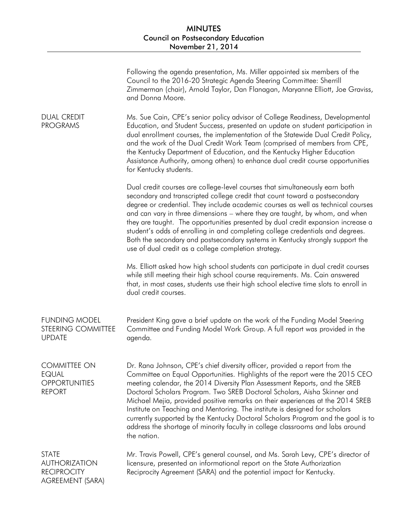|                                                                                       | Following the agenda presentation, Ms. Miller appointed six members of the<br>Council to the 2016-20 Strategic Agenda Steering Committee: Sherrill<br>Zimmerman (chair), Arnold Taylor, Dan Flanagan, Maryanne Elliott, Joe Graviss,<br>and Donna Moore.                                                                                                                                                                                                                                                                                                                                                                                                                    |
|---------------------------------------------------------------------------------------|-----------------------------------------------------------------------------------------------------------------------------------------------------------------------------------------------------------------------------------------------------------------------------------------------------------------------------------------------------------------------------------------------------------------------------------------------------------------------------------------------------------------------------------------------------------------------------------------------------------------------------------------------------------------------------|
| <b>DUAL CREDIT</b><br><b>PROGRAMS</b>                                                 | Ms. Sue Cain, CPE's senior policy advisor of College Readiness, Developmental<br>Education, and Student Success, presented an update on student participation in<br>dual enrollment courses, the implementation of the Statewide Dual Credit Policy,<br>and the work of the Dual Credit Work Team (comprised of members from CPE,<br>the Kentucky Department of Education, and the Kentucky Higher Education<br>Assistance Authority, among others) to enhance dual credit course opportunities<br>for Kentucky students.                                                                                                                                                   |
|                                                                                       | Dual credit courses are college-level courses that simultaneously earn both<br>secondary and transcripted college credit that count toward a postsecondary<br>degree or credential. They include academic courses as well as technical courses<br>and can vary in three dimensions - where they are taught, by whom, and when<br>they are taught. The opportunities presented by dual credit expansion increase a<br>student's odds of enrolling in and completing college credentials and degrees.<br>Both the secondary and postsecondary systems in Kentucky strongly support the<br>use of dual credit as a college completion strategy.                                |
|                                                                                       | Ms. Elliott asked how high school students can participate in dual credit courses<br>while still meeting their high school course requirements. Ms. Cain answered<br>that, in most cases, students use their high school elective time slots to enroll in<br>dual credit courses.                                                                                                                                                                                                                                                                                                                                                                                           |
| <b>FUNDING MODEL</b><br>STEERING COMMITTEE<br><b>UPDATE</b>                           | President King gave a brief update on the work of the Funding Model Steering<br>Committee and Funding Model Work Group. A full report was provided in the<br>agenda.                                                                                                                                                                                                                                                                                                                                                                                                                                                                                                        |
| <b>COMMITTEE ON</b><br><b>EQUAL</b><br><b>OPPORTUNITIES</b><br><b>REPORT</b>          | Dr. Rana Johnson, CPE's chief diversity officer, provided a report from the<br>Committee on Equal Opportunities. Highlights of the report were the 2015 CEO<br>meeting calendar, the 2014 Diversity Plan Assessment Reports, and the SREB<br>Doctoral Scholars Program. Two SREB Doctoral Scholars, Aisha Skinner and<br>Michael Mejia, provided positive remarks on their experiences at the 2014 SREB<br>Institute on Teaching and Mentoring. The institute is designed for scholars<br>currently supported by the Kentucky Doctoral Scholars Program and the goal is to<br>address the shortage of minority faculty in college classrooms and labs around<br>the nation. |
| <b>STATE</b><br><b>AUTHORIZATION</b><br><b>RECIPROCITY</b><br><b>AGREEMENT (SARA)</b> | Mr. Travis Powell, CPE's general counsel, and Ms. Sarah Levy, CPE's director of<br>licensure, presented an informational report on the State Authorization<br>Reciprocity Agreement (SARA) and the potential impact for Kentucky.                                                                                                                                                                                                                                                                                                                                                                                                                                           |